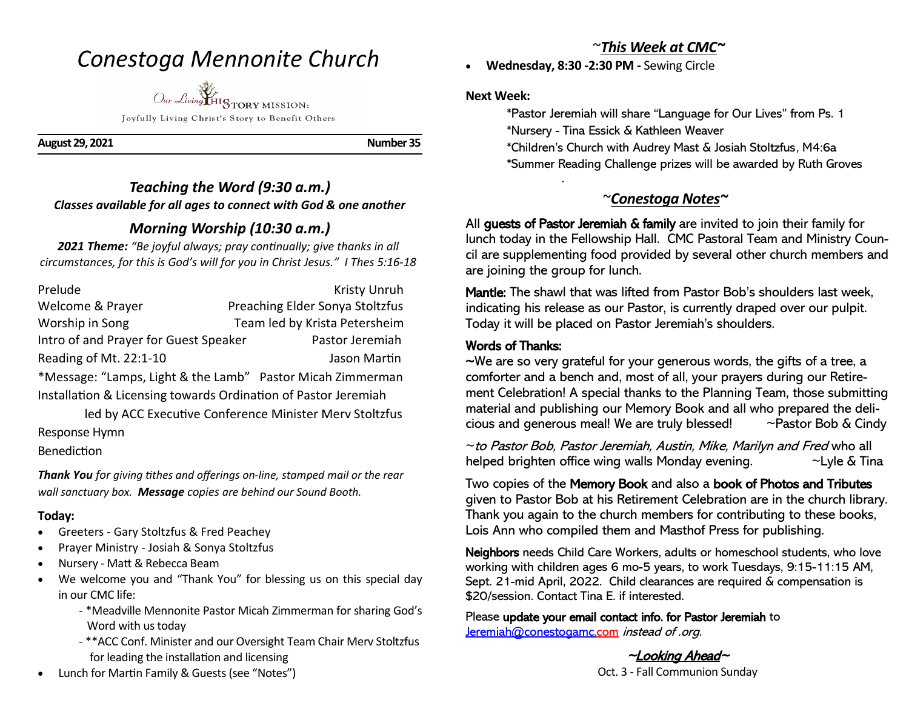# *Conestoga Mennonite Church*

*Our Living* HISTORY MISSION:

Joyfully Living Christ's Story to Benefit Others

**August 29, 2021 Number 35** 

## *Teaching the Word (9:30 a.m.) Classes available for all ages to connect with God & one another*

## *Morning Worship (10:30 a.m.)*

*2021 Theme: "Be joyful always; pray continually; give thanks in all circumstances, for this is God's will for you in Christ Jesus." I Thes 5:16-18*

Prelude Kristy Unruh Welcome & Prayer Preaching Elder Sonya Stoltzfus Worship in Song Team led by Krista Petersheim Intro of and Prayer for Guest Speaker Pastor Jeremiah Reading of Mt. 22:1-10 Jason Martin \*Message: "Lamps, Light & the Lamb" Pastor Micah Zimmerman

Installation & Licensing towards Ordination of Pastor Jeremiah

 led by ACC Executive Conference Minister Merv Stoltzfus Response Hymn

Benediction

*Thank You for giving tithes and offerings on-line, stamped mail or the rear wall sanctuary box. Message copies are behind our Sound Booth.*

### **Today:**

- Greeters Gary Stoltzfus & Fred Peachey
- Prayer Ministry Josiah & Sonya Stoltzfus
- Nursery Matt & Rebecca Beam
- We welcome you and "Thank You" for blessing us on this special day in our CMC life:
	- \*Meadville Mennonite Pastor Micah Zimmerman for sharing God's Word with us today
	- \*\*ACC Conf. Minister and our Oversight Team Chair Merv Stoltzfus for leading the installation and licensing
- Lunch for Martin Family & Guests (see "Notes")

## ~*This Week at CMC~*

• **Wednesday, 8:30 -2:30 PM -** Sewing Circle

#### **Next Week:**

- \*Pastor Jeremiah will share "Language for Our Lives" from Ps. 1
- \*Nursery Tina Essick & Kathleen Weaver
- \*Children's Church with Audrey Mast & Josiah Stoltzfus, M4:6a
- \*Summer Reading Challenge prizes will be awarded by Ruth Groves .

## ~*Conestoga Notes~*

All guests of Pastor Jeremiah & family are invited to join their family for lunch today in the Fellowship Hall. CMC Pastoral Team and Ministry Council are supplementing food provided by several other church members and are joining the group for lunch.

Mantle: The shawl that was lifted from Pastor Bob's shoulders last week, indicating his release as our Pastor, is currently draped over our pulpit. Today it will be placed on Pastor Jeremiah's shoulders.

## Words of Thanks:

~We are so very grateful for your generous words, the gifts of a tree, a comforter and a bench and, most of all, your prayers during our Retirement Celebration! A special thanks to the Planning Team, those submitting material and publishing our Memory Book and all who prepared the delicious and generous meal! We are truly blessed! ~Pastor Bob & Cindy

~to Pastor Bob, Pastor Jeremiah, Austin, Mike, Marilyn and Fred who all helped brighten office wing walls Monday evening.  $\sim$ Lyle & Tina

Two copies of the Memory Book and also a book of Photos and Tributes given to Pastor Bob at his Retirement Celebration are in the church library. Thank you again to the church members for contributing to these books, Lois Ann who compiled them and Masthof Press for publishing.

Neighbors needs Child Care Workers, adults or homeschool students, who love working with children ages 6 mo-5 years, to work Tuesdays, 9:15-11:15 AM, Sept. 21-mid April, 2022. Child clearances are required & compensation is \$20/session. Contact Tina E. if interested.

Please update your email contact info. for Pastor Jeremiah to Jeremiah@conestogamc.com instead of .org.

> $\sim$ Looking Ahead $\sim$ Oct. 3 - Fall Communion Sunday